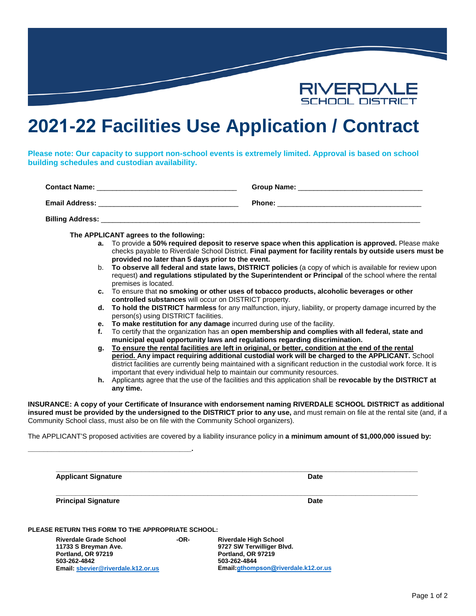

# **2021-22 Facilities Use Application / Contract**

**Please note: Our capacity to support non-school events is extremely limited. Approval is based on school building schedules and custodian availability.**

| <b>Contact Name:</b>    | Group Name:   |
|-------------------------|---------------|
| <b>Email Address:</b>   | <b>Phone:</b> |
| <b>Billing Address:</b> |               |

**The APPLICANT agrees to the following:**

**\_\_\_\_\_\_\_\_\_\_\_\_\_\_\_\_\_\_\_\_\_\_\_\_\_\_\_\_\_\_\_\_\_\_\_\_\_\_\_\_\_\_.**

- **a.** To provide **a 50% required deposit to reserve space when this application is approved.** Please make checks payable to Riverdale School District. **Final payment for facility rentals by outside users must be provided no later than 5 days prior to the event.**
- b. **To observe all federal and state laws, DISTRICT policies** (a copy of which is available for review upon request) **and regulations stipulated by the Superintendent or Principal** of the school where the rental premises is located.
- **c.** To ensure that **no smoking or other uses of tobacco products, alcoholic beverages or other controlled substances** will occur on DISTRICT property.
- **d. To hold the DISTRICT harmless** for any malfunction, injury, liability, or property damage incurred by the person(s) using DISTRICT facilities.
- **e. To make restitution for any damage** incurred during use of the facility.
- **f.** To certify that the organization has an **open membership and complies with all federal, state and municipal equal opportunity laws and regulations regarding discrimination.**
- **g. To ensure the rental facilities are left in original, or better, condition at the end of the rental period. Any impact requiring additional custodial work will be charged to the APPLICANT.** School district facilities are currently being maintained with a significant reduction in the custodial work force. It is important that every individual help to maintain our community resources.
- **h.** Applicants agree that the use of the facilities and this application shall be **revocable by the DISTRICT at any time.**

**INSURANCE: A copy of your Certificate of Insurance with endorsement naming RIVERDALE SCHOOL DISTRICT as additional insured must be provided by the undersigned to the DISTRICT prior to any use,** and must remain on file at the rental site (and, if a Community School class, must also be on file with the Community School organizers).

The APPLICANT'S proposed activities are covered by a liability insurance policy in **a minimum amount of \$1,000,000 issued by:**

| <b>Applicant Signature</b>                         | Date |
|----------------------------------------------------|------|
| <b>Principal Signature</b>                         | Date |
|                                                    |      |
| PLEASE RETURN THIS FORM TO THE APPROPRIATE SCHOOL: |      |